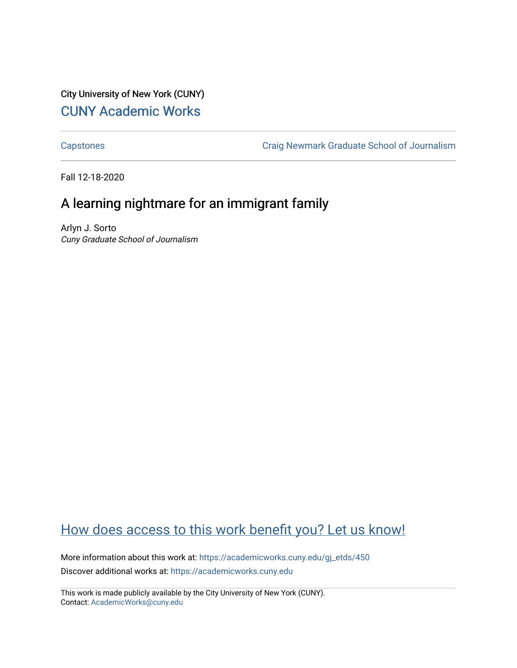City University of New York (CUNY) [CUNY Academic Works](https://academicworks.cuny.edu/) 

[Capstones](https://academicworks.cuny.edu/gj_etds) [Craig Newmark Graduate School of Journalism](https://academicworks.cuny.edu/gj) 

Fall 12-18-2020

## A learning nightmare for an immigrant family

Arlyn J. Sorto Cuny Graduate School of Journalism

## [How does access to this work benefit you? Let us know!](http://ols.cuny.edu/academicworks/?ref=https://academicworks.cuny.edu/gj_etds/450)

More information about this work at: [https://academicworks.cuny.edu/gj\\_etds/450](https://academicworks.cuny.edu/gj_etds/450)  Discover additional works at: [https://academicworks.cuny.edu](https://academicworks.cuny.edu/?)

This work is made publicly available by the City University of New York (CUNY). Contact: [AcademicWorks@cuny.edu](mailto:AcademicWorks@cuny.edu)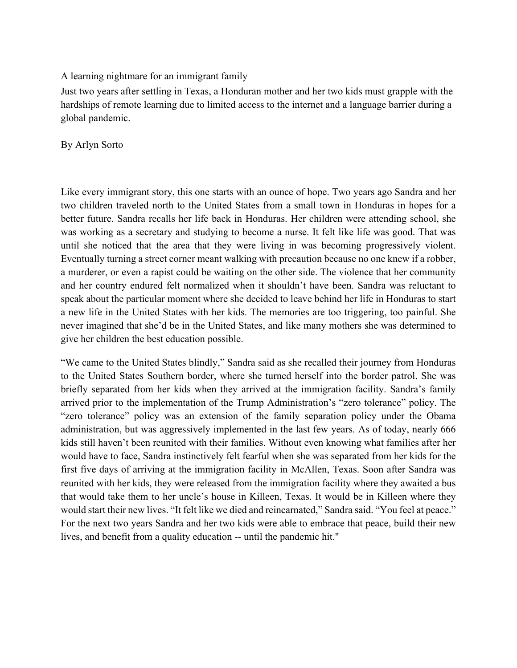A learning nightmare for an immigrant family

Just two years after settling in Texas, a Honduran mother and her two kids must grapple with the hardships of remote learning due to limited access to the internet and a language barrier during a global pandemic.

By Arlyn Sorto

Like every immigrant story, this one starts with an ounce of hope. Two years ago Sandra and her two children traveled north to the United States from a small town in Honduras in hopes for a better future. Sandra recalls her life back in Honduras. Her children were attending school, she was working as a secretary and studying to become a nurse. It felt like life was good. That was until she noticed that the area that they were living in was becoming progressively violent. Eventually turning a street corner meant walking with precaution because no one knew if a robber, a murderer, or even a rapist could be waiting on the other side. The violence that her community and her country endured felt normalized when it shouldn't have been. Sandra was reluctant to speak about the particular moment where she decided to leave behind her life in Honduras to start a new life in the United States with her kids. The memories are too triggering, too painful. She never imagined that she'd be in the United States, and like many mothers she was determined to give her children the best education possible.

"We came to the United States blindly," Sandra said as she recalled their journey from Honduras to the United States Southern border, where she turned herself into the border patrol. She was briefly separated from her kids when they arrived at the immigration facility. Sandra's family arrived prior to the implementation of the Trump Administration's "zero tolerance" policy. The "zero tolerance" policy was an extension of the family separation policy under the Obama administration, but was aggressively implemented in the last few years. As of today, nearly 666 kids still haven't been reunited with their families. Without even knowing what families after her would have to face, Sandra instinctively felt fearful when she was separated from her kids for the first five days of arriving at the immigration facility in McAllen, Texas. Soon after Sandra was reunited with her kids, they were released from the immigration facility where they awaited a bus that would take them to her uncle's house in Killeen, Texas. It would be in Killeen where they would start their new lives. "It felt like we died and reincarnated," Sandra said. "You feel at peace." For the next two years Sandra and her two kids were able to embrace that peace, build their new lives, and benefit from a quality education -- until the pandemic hit."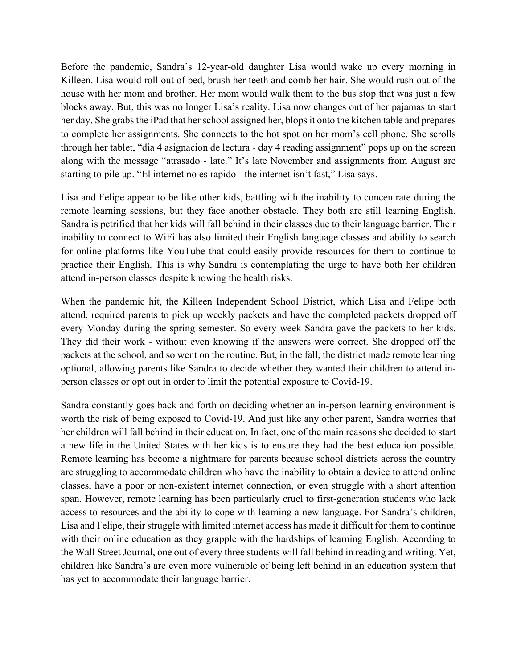Before the pandemic, Sandra's 12-year-old daughter Lisa would wake up every morning in Killeen. Lisa would roll out of bed, brush her teeth and comb her hair. She would rush out of the house with her mom and brother. Her mom would walk them to the bus stop that was just a few blocks away. But, this was no longer Lisa's reality. Lisa now changes out of her pajamas to start her day. She grabs the iPad that her school assigned her, blops it onto the kitchen table and prepares to complete her assignments. She connects to the hot spot on her mom's cell phone. She scrolls through her tablet, "dia 4 asignacion de lectura - day 4 reading assignment" pops up on the screen along with the message "atrasado - late." It's late November and assignments from August are starting to pile up. "El internet no es rapido - the internet isn't fast," Lisa says.

Lisa and Felipe appear to be like other kids, battling with the inability to concentrate during the remote learning sessions, but they face another obstacle. They both are still learning English. Sandra is petrified that her kids will fall behind in their classes due to their language barrier. Their inability to connect to WiFi has also limited their English language classes and ability to search for online platforms like YouTube that could easily provide resources for them to continue to practice their English. This is why Sandra is contemplating the urge to have both her children attend in-person classes despite knowing the health risks.

When the pandemic hit, the Killeen Independent School District, which Lisa and Felipe both attend, required parents to pick up weekly packets and have the completed packets dropped off every Monday during the spring semester. So every week Sandra gave the packets to her kids. They did their work - without even knowing if the answers were correct. She dropped off the packets at the school, and so went on the routine. But, in the fall, the district made remote learning optional, allowing parents like Sandra to decide whether they wanted their children to attend inperson classes or opt out in order to limit the potential exposure to Covid-19.

Sandra constantly goes back and forth on deciding whether an in-person learning environment is worth the risk of being exposed to Covid-19. And just like any other parent, Sandra worries that her children will fall behind in their education. In fact, one of the main reasons she decided to start a new life in the United States with her kids is to ensure they had the best education possible. Remote learning has become a nightmare for parents because school districts across the country are struggling to accommodate children who have the inability to obtain a device to attend online classes, have a poor or non-existent internet connection, or even struggle with a short attention span. However, remote learning has been particularly cruel to first-generation students who lack access to resources and the ability to cope with learning a new language. For Sandra's children, Lisa and Felipe, their struggle with limited internet access has made it difficult for them to continue with their online education as they grapple with the hardships of learning English. According to the Wall Street Journal, one out of every three students will fall behind in reading and writing. Yet, children like Sandra's are even more vulnerable of being left behind in an education system that has yet to accommodate their language barrier.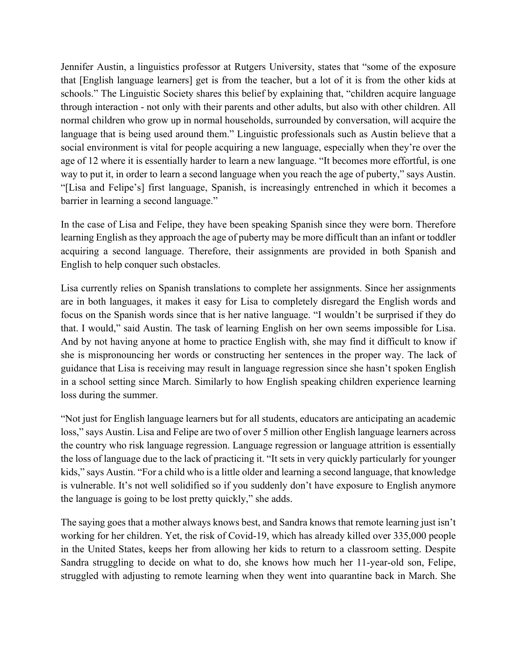Jennifer Austin, a linguistics professor at Rutgers University, states that "some of the exposure that [English language learners] get is from the teacher, but a lot of it is from the other kids at schools." The Linguistic Society shares this belief by explaining that, "children acquire language through interaction - not only with their parents and other adults, but also with other children. All normal children who grow up in normal households, surrounded by conversation, will acquire the language that is being used around them." Linguistic professionals such as Austin believe that a social environment is vital for people acquiring a new language, especially when they're over the age of 12 where it is essentially harder to learn a new language. "It becomes more effortful, is one way to put it, in order to learn a second language when you reach the age of puberty," says Austin. "[Lisa and Felipe's] first language, Spanish, is increasingly entrenched in which it becomes a barrier in learning a second language."

In the case of Lisa and Felipe, they have been speaking Spanish since they were born. Therefore learning English as they approach the age of puberty may be more difficult than an infant or toddler acquiring a second language. Therefore, their assignments are provided in both Spanish and English to help conquer such obstacles.

Lisa currently relies on Spanish translations to complete her assignments. Since her assignments are in both languages, it makes it easy for Lisa to completely disregard the English words and focus on the Spanish words since that is her native language. "I wouldn't be surprised if they do that. I would," said Austin. The task of learning English on her own seems impossible for Lisa. And by not having anyone at home to practice English with, she may find it difficult to know if she is mispronouncing her words or constructing her sentences in the proper way. The lack of guidance that Lisa is receiving may result in language regression since she hasn't spoken English in a school setting since March. Similarly to how English speaking children experience learning loss during the summer.

"Not just for English language learners but for all students, educators are anticipating an academic loss," says Austin. Lisa and Felipe are two of over 5 million other English language learners across the country who risk language regression. Language regression or language attrition is essentially the loss of language due to the lack of practicing it. "It sets in very quickly particularly for younger kids," says Austin. "For a child who is a little older and learning a second language, that knowledge is vulnerable. It's not well solidified so if you suddenly don't have exposure to English anymore the language is going to be lost pretty quickly," she adds.

The saying goes that a mother always knows best, and Sandra knows that remote learning just isn't working for her children. Yet, the risk of Covid-19, which has already killed over 335,000 people in the United States, keeps her from allowing her kids to return to a classroom setting. Despite Sandra struggling to decide on what to do, she knows how much her 11-year-old son, Felipe, struggled with adjusting to remote learning when they went into quarantine back in March. She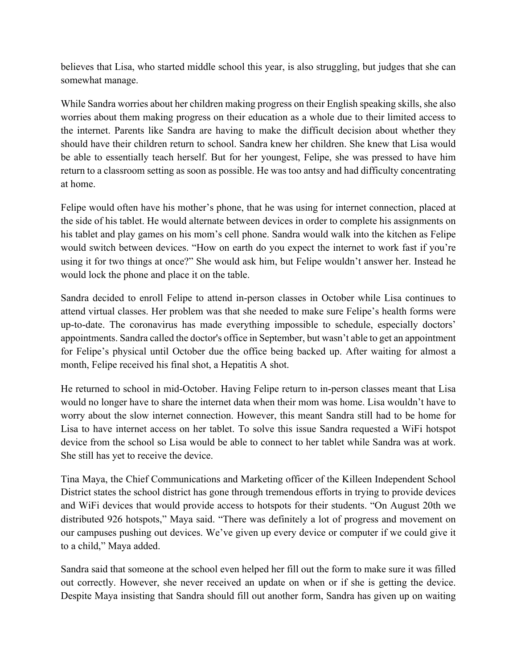believes that Lisa, who started middle school this year, is also struggling, but judges that she can somewhat manage.

While Sandra worries about her children making progress on their English speaking skills, she also worries about them making progress on their education as a whole due to their limited access to the internet. Parents like Sandra are having to make the difficult decision about whether they should have their children return to school. Sandra knew her children. She knew that Lisa would be able to essentially teach herself. But for her youngest, Felipe, she was pressed to have him return to a classroom setting as soon as possible. He was too antsy and had difficulty concentrating at home.

Felipe would often have his mother's phone, that he was using for internet connection, placed at the side of his tablet. He would alternate between devices in order to complete his assignments on his tablet and play games on his mom's cell phone. Sandra would walk into the kitchen as Felipe would switch between devices. "How on earth do you expect the internet to work fast if you're using it for two things at once?" She would ask him, but Felipe wouldn't answer her. Instead he would lock the phone and place it on the table.

Sandra decided to enroll Felipe to attend in-person classes in October while Lisa continues to attend virtual classes. Her problem was that she needed to make sure Felipe's health forms were up-to-date. The coronavirus has made everything impossible to schedule, especially doctors' appointments. Sandra called the doctor's office in September, but wasn't able to get an appointment for Felipe's physical until October due the office being backed up. After waiting for almost a month, Felipe received his final shot, a Hepatitis A shot.

He returned to school in mid-October. Having Felipe return to in-person classes meant that Lisa would no longer have to share the internet data when their mom was home. Lisa wouldn't have to worry about the slow internet connection. However, this meant Sandra still had to be home for Lisa to have internet access on her tablet. To solve this issue Sandra requested a WiFi hotspot device from the school so Lisa would be able to connect to her tablet while Sandra was at work. She still has yet to receive the device.

Tina Maya, the Chief Communications and Marketing officer of the Killeen Independent School District states the school district has gone through tremendous efforts in trying to provide devices and WiFi devices that would provide access to hotspots for their students. "On August 20th we distributed 926 hotspots," Maya said. "There was definitely a lot of progress and movement on our campuses pushing out devices. We've given up every device or computer if we could give it to a child," Maya added.

Sandra said that someone at the school even helped her fill out the form to make sure it was filled out correctly. However, she never received an update on when or if she is getting the device. Despite Maya insisting that Sandra should fill out another form, Sandra has given up on waiting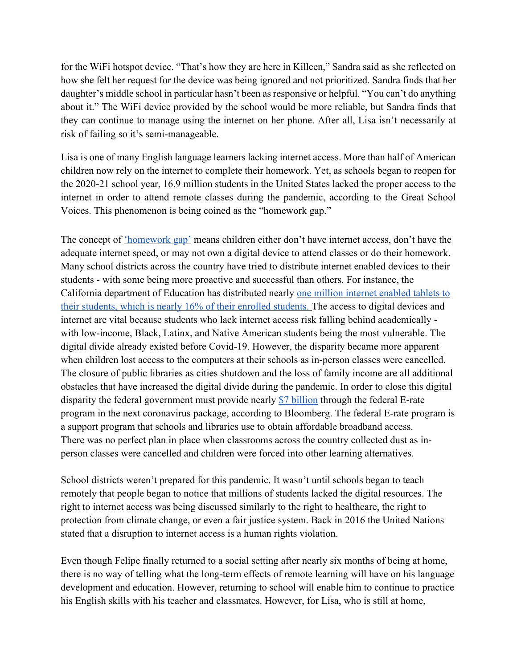for the WiFi hotspot device. "That's how they are here in Killeen," Sandra said as she reflected on how she felt her request for the device was being ignored and not prioritized. Sandra finds that her daughter's middle school in particular hasn't been as responsive or helpful. "You can't do anything about it." The WiFi device provided by the school would be more reliable, but Sandra finds that they can continue to manage using the internet on her phone. After all, Lisa isn't necessarily at risk of failing so it's semi-manageable.

Lisa is one of many English language learners lacking internet access. More than half of American children now rely on the internet to complete their homework. Yet, as schools began to reopen for the 2020-21 school year, 16.9 million students in the United States lacked the proper access to the internet in order to attend remote classes during the pandemic, according to the Great School Voices. This phenomenon is being coined as the "homework gap."

The concept of <u>'homework gap'</u> means children either don't have internet access, don't have the adequate internet speed, or may not own a digital device to attend classes or do their homework. Many school districts across the country have tried to distribute internet enabled devices to their students - with some being more proactive and successful than others. For instance, the California department of Education has distributed nearly one million internet enabled tablets to their students, which is nearly 16% of their enrolled students. The access to digital devices and internet are vital because students who lack internet access risk falling behind academically with low-income, Black, Latinx, and Native American students being the most vulnerable. The digital divide already existed before Covid-19. However, the disparity became more apparent when children lost access to the computers at their schools as in-person classes were cancelled. The closure of public libraries as cities shutdown and the loss of family income are all additional obstacles that have increased the digital divide during the pandemic. In order to close this digital disparity the federal government must provide nearly \$7 billion through the federal E-rate program in the next coronavirus package, according to Bloomberg. The federal E-rate program is a support program that schools and libraries use to obtain affordable broadband access. There was no perfect plan in place when classrooms across the country collected dust as inperson classes were cancelled and children were forced into other learning alternatives.

School districts weren't prepared for this pandemic. It wasn't until schools began to teach remotely that people began to notice that millions of students lacked the digital resources. The right to internet access was being discussed similarly to the right to healthcare, the right to protection from climate change, or even a fair justice system. Back in 2016 the United Nations stated that a disruption to internet access is a human rights violation.

Even though Felipe finally returned to a social setting after nearly six months of being at home, there is no way of telling what the long-term effects of remote learning will have on his language development and education. However, returning to school will enable him to continue to practice his English skills with his teacher and classmates. However, for Lisa, who is still at home,